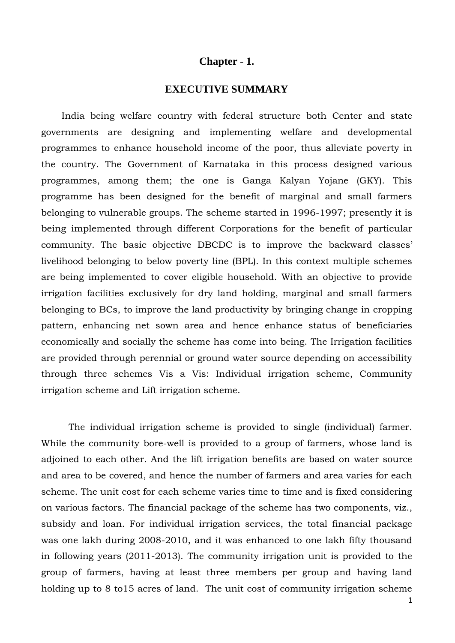## **Chapter - 1.**

## **EXECUTIVE SUMMARY**

 India being welfare country with federal structure both Center and state governments are designing and implementing welfare and developmental programmes to enhance household income of the poor, thus alleviate poverty in the country. The Government of Karnataka in this process designed various programmes, among them; the one is Ganga Kalyan Yojane (GKY). This programme has been designed for the benefit of marginal and small farmers belonging to vulnerable groups. The scheme started in 1996-1997; presently it is being implemented through different Corporations for the benefit of particular community. The basic objective DBCDC is to improve the backward classes' livelihood belonging to below poverty line (BPL). In this context multiple schemes are being implemented to cover eligible household. With an objective to provide irrigation facilities exclusively for dry land holding, marginal and small farmers belonging to BCs, to improve the land productivity by bringing change in cropping pattern, enhancing net sown area and hence enhance status of beneficiaries economically and socially the scheme has come into being. The Irrigation facilities are provided through perennial or ground water source depending on accessibility through three schemes Vis a Vis: Individual irrigation scheme, Community irrigation scheme and Lift irrigation scheme.

The individual irrigation scheme is provided to single (individual) farmer. While the community bore-well is provided to a group of farmers, whose land is adjoined to each other. And the lift irrigation benefits are based on water source and area to be covered, and hence the number of farmers and area varies for each scheme. The unit cost for each scheme varies time to time and is fixed considering on various factors. The financial package of the scheme has two components, viz., subsidy and loan. For individual irrigation services, the total financial package was one lakh during 2008-2010, and it was enhanced to one lakh fifty thousand in following years (2011-2013). The community irrigation unit is provided to the group of farmers, having at least three members per group and having land holding up to 8 to 15 acres of land. The unit cost of community irrigation scheme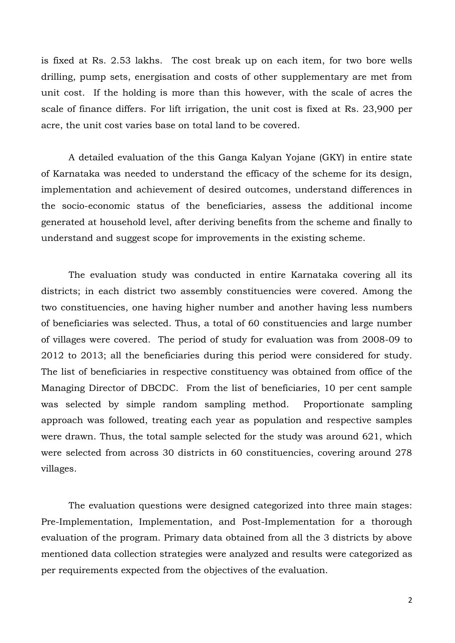is fixed at Rs. 2.53 lakhs. The cost break up on each item, for two bore wells drilling, pump sets, energisation and costs of other supplementary are met from unit cost. If the holding is more than this however, with the scale of acres the scale of finance differs. For lift irrigation, the unit cost is fixed at Rs. 23,900 per acre, the unit cost varies base on total land to be covered.

A detailed evaluation of the this Ganga Kalyan Yojane (GKY) in entire state of Karnataka was needed to understand the efficacy of the scheme for its design, implementation and achievement of desired outcomes, understand differences in the socio-economic status of the beneficiaries, assess the additional income generated at household level, after deriving benefits from the scheme and finally to understand and suggest scope for improvements in the existing scheme.

The evaluation study was conducted in entire Karnataka covering all its districts; in each district two assembly constituencies were covered. Among the two constituencies, one having higher number and another having less numbers of beneficiaries was selected. Thus, a total of 60 constituencies and large number of villages were covered. The period of study for evaluation was from 2008-09 to 2012 to 2013; all the beneficiaries during this period were considered for study. The list of beneficiaries in respective constituency was obtained from office of the Managing Director of DBCDC. From the list of beneficiaries, 10 per cent sample was selected by simple random sampling method. Proportionate sampling approach was followed, treating each year as population and respective samples were drawn. Thus, the total sample selected for the study was around 621, which were selected from across 30 districts in 60 constituencies, covering around 278 villages.

The evaluation questions were designed categorized into three main stages: Pre-Implementation, Implementation, and Post-Implementation for a thorough evaluation of the program. Primary data obtained from all the 3 districts by above mentioned data collection strategies were analyzed and results were categorized as per requirements expected from the objectives of the evaluation.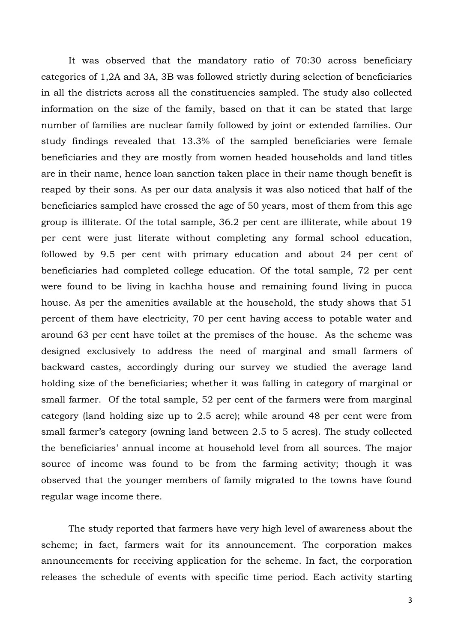It was observed that the mandatory ratio of 70:30 across beneficiary categories of 1,2A and 3A, 3B was followed strictly during selection of beneficiaries in all the districts across all the constituencies sampled. The study also collected information on the size of the family, based on that it can be stated that large number of families are nuclear family followed by joint or extended families. Our study findings revealed that 13.3% of the sampled beneficiaries were female beneficiaries and they are mostly from women headed households and land titles are in their name, hence loan sanction taken place in their name though benefit is reaped by their sons. As per our data analysis it was also noticed that half of the beneficiaries sampled have crossed the age of 50 years, most of them from this age group is illiterate. Of the total sample, 36.2 per cent are illiterate, while about 19 per cent were just literate without completing any formal school education, followed by 9.5 per cent with primary education and about 24 per cent of beneficiaries had completed college education. Of the total sample, 72 per cent were found to be living in kachha house and remaining found living in pucca house. As per the amenities available at the household, the study shows that 51 percent of them have electricity, 70 per cent having access to potable water and around 63 per cent have toilet at the premises of the house. As the scheme was designed exclusively to address the need of marginal and small farmers of backward castes, accordingly during our survey we studied the average land holding size of the beneficiaries; whether it was falling in category of marginal or small farmer. Of the total sample, 52 per cent of the farmers were from marginal category (land holding size up to 2.5 acre); while around 48 per cent were from small farmer's category (owning land between 2.5 to 5 acres). The study collected the beneficiaries' annual income at household level from all sources. The major source of income was found to be from the farming activity; though it was observed that the younger members of family migrated to the towns have found regular wage income there.

The study reported that farmers have very high level of awareness about the scheme; in fact, farmers wait for its announcement. The corporation makes announcements for receiving application for the scheme. In fact, the corporation releases the schedule of events with specific time period. Each activity starting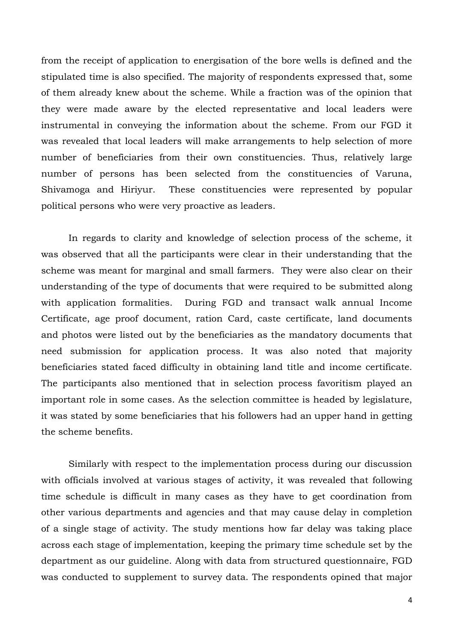from the receipt of application to energisation of the bore wells is defined and the stipulated time is also specified. The majority of respondents expressed that, some of them already knew about the scheme. While a fraction was of the opinion that they were made aware by the elected representative and local leaders were instrumental in conveying the information about the scheme. From our FGD it was revealed that local leaders will make arrangements to help selection of more number of beneficiaries from their own constituencies. Thus, relatively large number of persons has been selected from the constituencies of Varuna, Shivamoga and Hiriyur. These constituencies were represented by popular political persons who were very proactive as leaders.

In regards to clarity and knowledge of selection process of the scheme, it was observed that all the participants were clear in their understanding that the scheme was meant for marginal and small farmers. They were also clear on their understanding of the type of documents that were required to be submitted along with application formalities. During FGD and transact walk annual Income Certificate, age proof document, ration Card, caste certificate, land documents and photos were listed out by the beneficiaries as the mandatory documents that need submission for application process. It was also noted that majority beneficiaries stated faced difficulty in obtaining land title and income certificate. The participants also mentioned that in selection process favoritism played an important role in some cases. As the selection committee is headed by legislature, it was stated by some beneficiaries that his followers had an upper hand in getting the scheme benefits.

Similarly with respect to the implementation process during our discussion with officials involved at various stages of activity, it was revealed that following time schedule is difficult in many cases as they have to get coordination from other various departments and agencies and that may cause delay in completion of a single stage of activity. The study mentions how far delay was taking place across each stage of implementation, keeping the primary time schedule set by the department as our guideline. Along with data from structured questionnaire, FGD was conducted to supplement to survey data. The respondents opined that major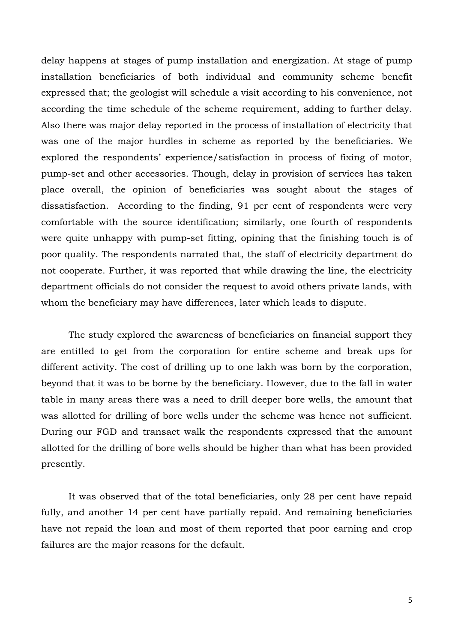delay happens at stages of pump installation and energization. At stage of pump installation beneficiaries of both individual and community scheme benefit expressed that; the geologist will schedule a visit according to his convenience, not according the time schedule of the scheme requirement, adding to further delay. Also there was major delay reported in the process of installation of electricity that was one of the major hurdles in scheme as reported by the beneficiaries. We explored the respondents' experience/satisfaction in process of fixing of motor, pump-set and other accessories. Though, delay in provision of services has taken place overall, the opinion of beneficiaries was sought about the stages of dissatisfaction. According to the finding, 91 per cent of respondents were very comfortable with the source identification; similarly, one fourth of respondents were quite unhappy with pump-set fitting, opining that the finishing touch is of poor quality. The respondents narrated that, the staff of electricity department do not cooperate. Further, it was reported that while drawing the line, the electricity department officials do not consider the request to avoid others private lands, with whom the beneficiary may have differences, later which leads to dispute.

The study explored the awareness of beneficiaries on financial support they are entitled to get from the corporation for entire scheme and break ups for different activity. The cost of drilling up to one lakh was born by the corporation, beyond that it was to be borne by the beneficiary. However, due to the fall in water table in many areas there was a need to drill deeper bore wells, the amount that was allotted for drilling of bore wells under the scheme was hence not sufficient. During our FGD and transact walk the respondents expressed that the amount allotted for the drilling of bore wells should be higher than what has been provided presently.

It was observed that of the total beneficiaries, only 28 per cent have repaid fully, and another 14 per cent have partially repaid. And remaining beneficiaries have not repaid the loan and most of them reported that poor earning and crop failures are the major reasons for the default.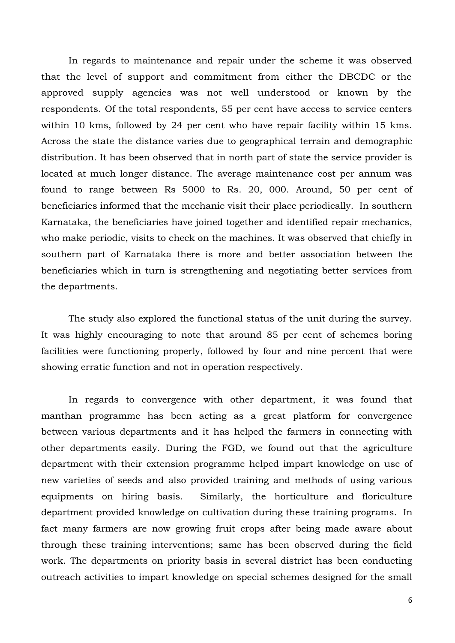In regards to maintenance and repair under the scheme it was observed that the level of support and commitment from either the DBCDC or the approved supply agencies was not well understood or known by the respondents. Of the total respondents, 55 per cent have access to service centers within 10 kms, followed by 24 per cent who have repair facility within 15 kms. Across the state the distance varies due to geographical terrain and demographic distribution. It has been observed that in north part of state the service provider is located at much longer distance. The average maintenance cost per annum was found to range between Rs 5000 to Rs. 20, 000. Around, 50 per cent of beneficiaries informed that the mechanic visit their place periodically. In southern Karnataka, the beneficiaries have joined together and identified repair mechanics, who make periodic, visits to check on the machines. It was observed that chiefly in southern part of Karnataka there is more and better association between the beneficiaries which in turn is strengthening and negotiating better services from the departments.

The study also explored the functional status of the unit during the survey. It was highly encouraging to note that around 85 per cent of schemes boring facilities were functioning properly, followed by four and nine percent that were showing erratic function and not in operation respectively.

In regards to convergence with other department, it was found that manthan programme has been acting as a great platform for convergence between various departments and it has helped the farmers in connecting with other departments easily. During the FGD, we found out that the agriculture department with their extension programme helped impart knowledge on use of new varieties of seeds and also provided training and methods of using various equipments on hiring basis. Similarly, the horticulture and floriculture department provided knowledge on cultivation during these training programs. In fact many farmers are now growing fruit crops after being made aware about through these training interventions; same has been observed during the field work. The departments on priority basis in several district has been conducting outreach activities to impart knowledge on special schemes designed for the small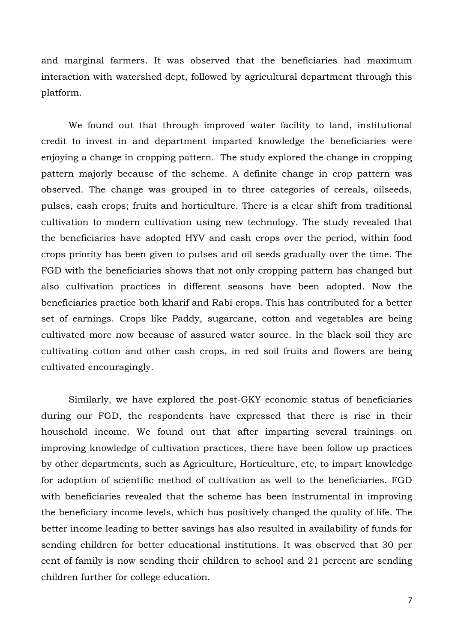and marginal farmers. It was observed that the beneficiaries had maximum interaction with watershed dept, followed by agricultural department through this platform.

We found out that through improved water facility to land, institutional credit to invest in and department imparted knowledge the beneficiaries were enjoying a change in cropping pattern. The study explored the change in cropping pattern majorly because of the scheme. A definite change in crop pattern was observed. The change was grouped in to three categories of cereals, oilseeds, pulses, cash crops; fruits and horticulture. There is a clear shift from traditional cultivation to modern cultivation using new technology. The study revealed that the beneficiaries have adopted HYV and cash crops over the period, within food crops priority has been given to pulses and oil seeds gradually over the time. The FGD with the beneficiaries shows that not only cropping pattern has changed but also cultivation practices in different seasons have been adopted. Now the beneficiaries practice both kharif and Rabi crops. This has contributed for a better set of earnings. Crops like Paddy, sugarcane, cotton and vegetables are being cultivated more now because of assured water source. In the black soil they are cultivating cotton and other cash crops, in red soil fruits and flowers are being cultivated encouragingly.

Similarly, we have explored the post-GKY economic status of beneficiaries during our FGD, the respondents have expressed that there is rise in their household income. We found out that after imparting several trainings on improving knowledge of cultivation practices, there have been follow up practices by other departments, such as Agriculture, Horticulture, etc, to impart knowledge for adoption of scientific method of cultivation as well to the beneficiaries. FGD with beneficiaries revealed that the scheme has been instrumental in improving the beneficiary income levels, which has positively changed the quality of life. The better income leading to better savings has also resulted in availability of funds for sending children for better educational institutions. It was observed that 30 per cent of family is now sending their children to school and 21 percent are sending children further for college education.